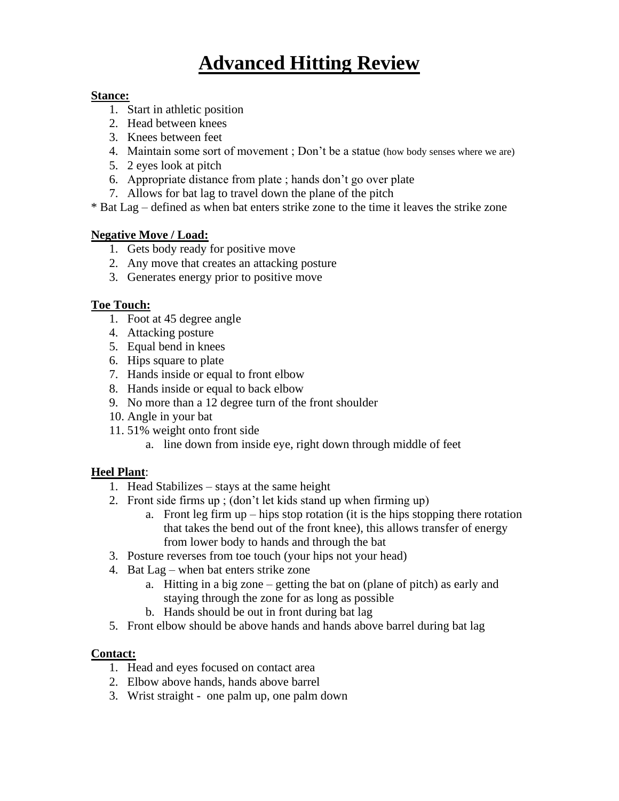# **Advanced Hitting Review**

#### **Stance:**

- 1. Start in athletic position
- 2. Head between knees
- 3. Knees between feet
- 4. Maintain some sort of movement ; Don't be a statue (how body senses where we are)
- 5. 2 eyes look at pitch
- 6. Appropriate distance from plate ; hands don't go over plate
- 7. Allows for bat lag to travel down the plane of the pitch

\* Bat Lag – defined as when bat enters strike zone to the time it leaves the strike zone

#### **Negative Move / Load:**

- 1. Gets body ready for positive move
- 2. Any move that creates an attacking posture
- 3. Generates energy prior to positive move

#### **Toe Touch:**

- 1. Foot at 45 degree angle
- 4. Attacking posture
- 5. Equal bend in knees
- 6. Hips square to plate
- 7. Hands inside or equal to front elbow
- 8. Hands inside or equal to back elbow
- 9. No more than a 12 degree turn of the front shoulder
- 10. Angle in your bat
- 11. 51% weight onto front side
	- a. line down from inside eye, right down through middle of feet

### **Heel Plant**:

- 1. Head Stabilizes stays at the same height
- 2. Front side firms up ; (don't let kids stand up when firming up)
	- a. Front leg firm up hips stop rotation (it is the hips stopping there rotation that takes the bend out of the front knee), this allows transfer of energy from lower body to hands and through the bat
- 3. Posture reverses from toe touch (your hips not your head)
- 4. Bat Lag when bat enters strike zone
	- a. Hitting in a big zone getting the bat on (plane of pitch) as early and staying through the zone for as long as possible
	- b. Hands should be out in front during bat lag
- 5. Front elbow should be above hands and hands above barrel during bat lag

### **Contact:**

- 1. Head and eyes focused on contact area
- 2. Elbow above hands, hands above barrel
- 3. Wrist straight one palm up, one palm down